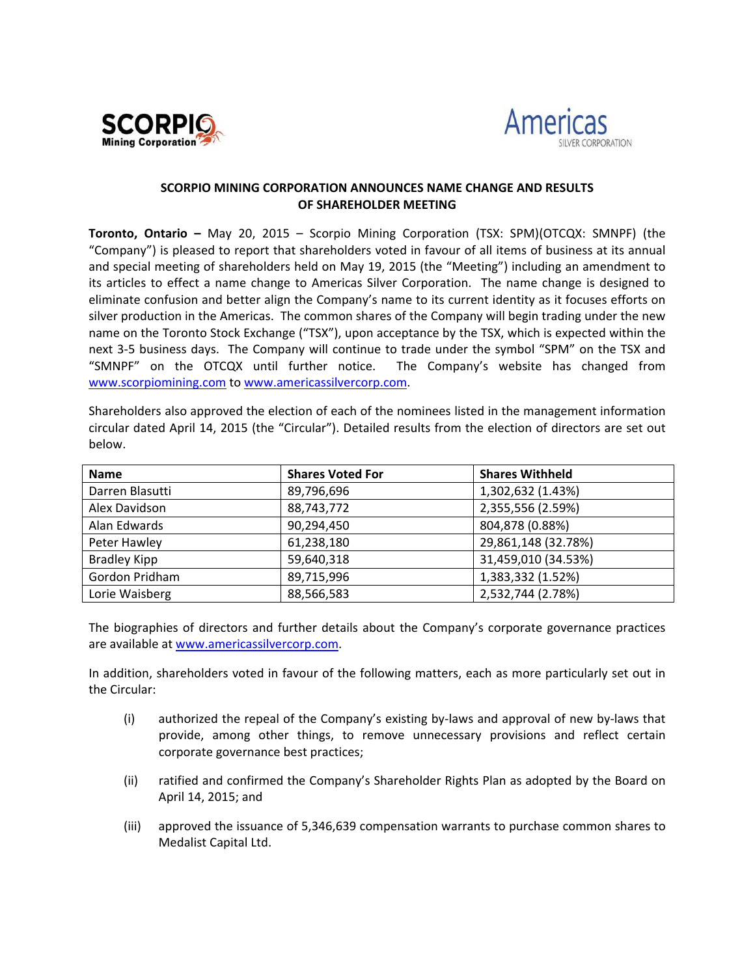



## **SCORPIO MINING CORPORATION ANNOUNCES NAME CHANGE AND RESULTS OF SHAREHOLDER MEETING**

**Toronto, Ontario –** May 20, 2015 – Scorpio Mining Corporation (TSX: SPM)(OTCQX: SMNPF) (the "Company") is pleased to report that shareholders voted in favour of all items of business at its annual and special meeting of shareholders held on May 19, 2015 (the "Meeting") including an amendment to its articles to effect a name change to Americas Silver Corporation. The name change is designed to eliminate confusion and better align the Company's name to its current identity as it focuses efforts on silver production in the Americas. The common shares of the Company will begin trading under the new name on the Toronto Stock Exchange ("TSX"), upon acceptance by the TSX, which is expected within the next 3‐5 business days. The Company will continue to trade under the symbol "SPM" on the TSX and "SMNPF" on the OTCQX until further notice. The Company's website has changed from www.scorpiomining.com to www.americassilvercorp.com.

Shareholders also approved the election of each of the nominees listed in the management information circular dated April 14, 2015 (the "Circular"). Detailed results from the election of directors are set out below.

| <b>Name</b>         | <b>Shares Voted For</b> | <b>Shares Withheld</b> |
|---------------------|-------------------------|------------------------|
| Darren Blasutti     | 89,796,696              | 1,302,632 (1.43%)      |
| Alex Davidson       | 88,743,772              | 2,355,556 (2.59%)      |
| Alan Edwards        | 90,294,450              | 804,878 (0.88%)        |
| Peter Hawley        | 61,238,180              | 29,861,148 (32.78%)    |
| <b>Bradley Kipp</b> | 59,640,318              | 31,459,010 (34.53%)    |
| Gordon Pridham      | 89,715,996              | 1,383,332 (1.52%)      |
| Lorie Waisberg      | 88,566,583              | 2,532,744 (2.78%)      |

The biographies of directors and further details about the Company's corporate governance practices are available at www.americassilvercorp.com.

In addition, shareholders voted in favour of the following matters, each as more particularly set out in the Circular:

- (i) authorized the repeal of the Company's existing by‐laws and approval of new by‐laws that provide, among other things, to remove unnecessary provisions and reflect certain corporate governance best practices;
- (ii) ratified and confirmed the Company's Shareholder Rights Plan as adopted by the Board on April 14, 2015; and
- (iii) approved the issuance of 5,346,639 compensation warrants to purchase common shares to Medalist Capital Ltd.